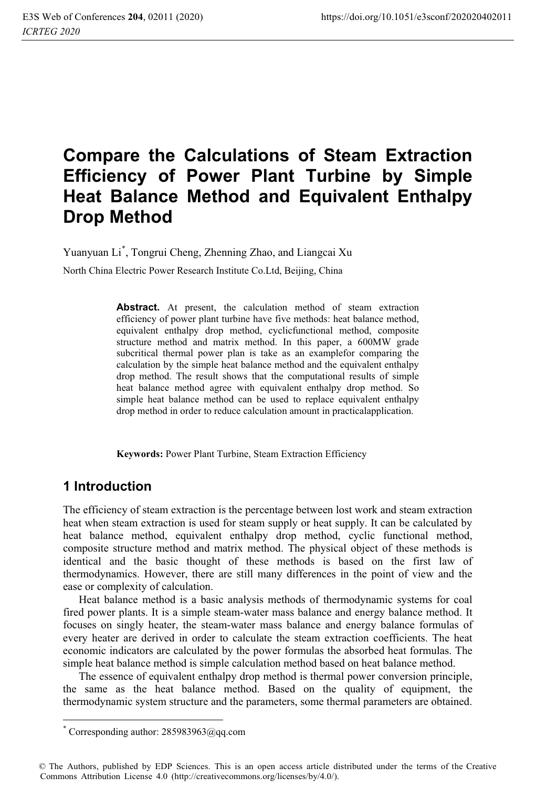# **Compare the Calculations of Steam Extraction Efficiency of Power Plant Turbine by Simple Heat Balance Method and Equivalent Enthalpy Drop Method**

Yuanyuan Li\* , Tongrui Cheng, Zhenning Zhao, and Liangcai Xu

North China Electric Power Research Institute Co.Ltd, Beijing, China

**Abstract.** At present, the calculation method of steam extraction efficiency of power plant turbine have five methods: heat balance method, equivalent enthalpy drop method, cyclicfunctional method, composite structure method and matrix method. In this paper, a 600MW grade subcritical thermal power plan is take as an examplefor comparing the calculation by the simple heat balance method and the equivalent enthalpy drop method. The result shows that the computational results of simple heat balance method agree with equivalent enthalpy drop method. So simple heat balance method can be used to replace equivalent enthalpy drop method in order to reduce calculation amount in practicalapplication.

**Keywords:** Power Plant Turbine, Steam Extraction Efficiency

## **1 Introduction**

 $\overline{a}$ 

The efficiency of steam extraction is the percentage between lost work and steam extraction heat when steam extraction is used for steam supply or heat supply. It can be calculated by heat balance method, equivalent enthalpy drop method, cyclic functional method, composite structure method and matrix method. The physical object of these methods is identical and the basic thought of these methods is based on the first law of thermodynamics. However, there are still many differences in the point of view and the ease or complexity of calculation.

Heat balance method is a basic analysis methods of thermodynamic systems for coal fired power plants. It is a simple steam-water mass balance and energy balance method. It focuses on singly heater, the steam-water mass balance and energy balance formulas of every heater are derived in order to calculate the steam extraction coefficients. The heat economic indicators are calculated by the power formulas the absorbed heat formulas. The simple heat balance method is simple calculation method based on heat balance method.

The essence of equivalent enthalpy drop method is thermal power conversion principle, the same as the heat balance method. Based on the quality of equipment, the thermodynamic system structure and the parameters, some thermal parameters are obtained.

<sup>\*</sup> Corresponding author: 285983963@qq.com

<sup>©</sup> The Authors, published by EDP Sciences. This is an open access article distributed under the terms of the Creative Commons Attribution License 4.0 (http://creativecommons.org/licenses/by/4.0/).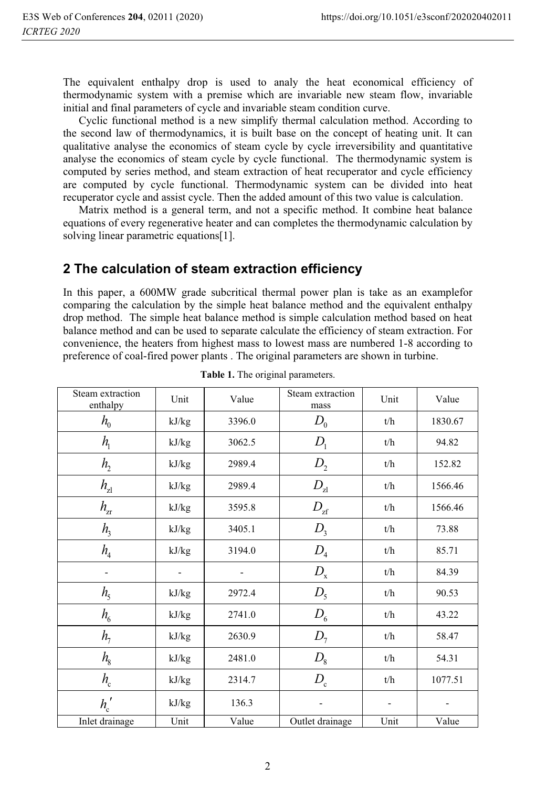The equivalent enthalpy drop is used to analy the heat economical efficiency of thermodynamic system with a premise which are invariable new steam flow, invariable initial and final parameters of cycle and invariable steam condition curve.

Cyclic functional method is a new simplify thermal calculation method. According to the second law of thermodynamics, it is built base on the concept of heating unit. It can qualitative analyse the economics of steam cycle by cycle irreversibility and quantitative analyse the economics of steam cycle by cycle functional. The thermodynamic system is computed by series method, and steam extraction of heat recuperator and cycle efficiency are computed by cycle functional. Thermodynamic system can be divided into heat recuperator cycle and assist cycle. Then the added amount of this two value is calculation.

Matrix method is a general term, and not a specific method. It combine heat balance equations of every regenerative heater and can completes the thermodynamic calculation by solving linear parametric equations[1].

## **2 The calculation of steam extraction efficiency**

In this paper, a 600MW grade subcritical thermal power plan is take as an examplefor comparing the calculation by the simple heat balance method and the equivalent enthalpy drop method. The simple heat balance method is simple calculation method based on heat balance method and can be used to separate calculate the efficiency of steam extraction. For convenience, the heaters from highest mass to lowest mass are numbered 1-8 according to preference of coal-fired power plants . The original parameters are shown in turbine.

| Steam extraction<br>enthalpy | Unit  | Value  | Steam extraction<br>mass | Unit | Value   |
|------------------------------|-------|--------|--------------------------|------|---------|
| $h_{0}$                      | kJ/kg | 3396.0 | $D_{0}$                  | t/h  | 1830.67 |
| $h_{\scriptscriptstyle 1}$   | kJ/kg | 3062.5 | D <sub>1</sub>           | t/h  | 94.82   |
| h <sub>2</sub>               | kJ/kg | 2989.4 | D <sub>2</sub>           | t/h  | 152.82  |
| $h_{z1}$                     | kJ/kg | 2989.4 | $D_{\rm z1}$             | t/h  | 1566.46 |
| $h_{\rm zr}$                 | kJ/kg | 3595.8 | $D_{\mathrm{zf}}$        | t/h  | 1566.46 |
| h <sub>3</sub>               | kJ/kg | 3405.1 | $D_{3}$                  | t/h  | 73.88   |
| $h_{\scriptscriptstyle 4}$   | kJ/kg | 3194.0 | $D_4$                    | t/h  | 85.71   |
| $\qquad \qquad \blacksquare$ |       |        | $D_{\rm x}$              | t/h  | 84.39   |
| h <sub>5</sub>               | kJ/kg | 2972.4 | $D_5$                    | t/h  | 90.53   |
| $h_{6}$                      | kJ/kg | 2741.0 | $D_{6}$                  | t/h  | 43.22   |
| $h_{7}$                      | kJ/kg | 2630.9 | $D_7$                    | t/h  | 58.47   |
| $h_{\rm s}$                  | kJ/kg | 2481.0 | $D_8$                    | t/h  | 54.31   |
| $h_{\rm c}$                  | kJ/kg | 2314.7 | $D_{\rm c}$              | t/h  | 1077.51 |
| $h'_{c}$                     | kJ/kg | 136.3  |                          |      |         |
| Inlet drainage               | Unit  | Value  | Outlet drainage          | Unit | Value   |

**Table 1.** The original parameters.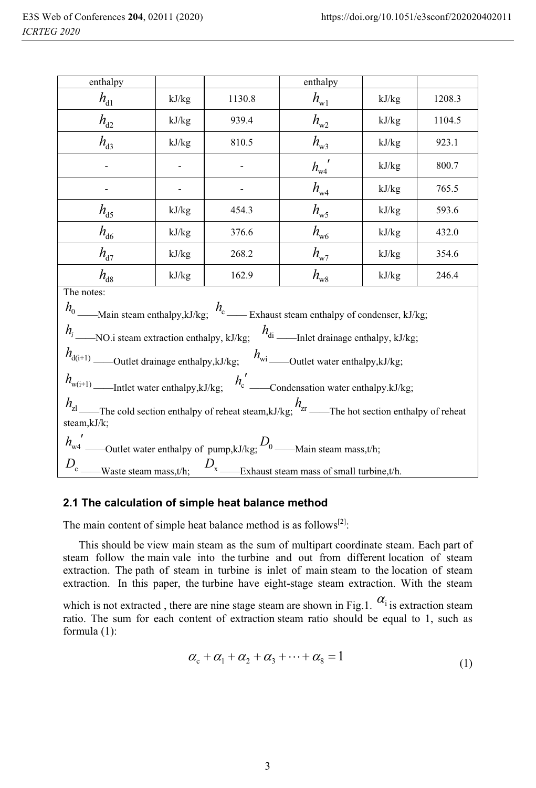| enthalpy<br>enthalpy                                                                                                                                                                                                                                                                                                                                                                                                                  |                                                  |                   |              |       |        |  |  |  |  |
|---------------------------------------------------------------------------------------------------------------------------------------------------------------------------------------------------------------------------------------------------------------------------------------------------------------------------------------------------------------------------------------------------------------------------------------|--------------------------------------------------|-------------------|--------------|-------|--------|--|--|--|--|
| $h_{\rm d1}$                                                                                                                                                                                                                                                                                                                                                                                                                          | kJ/kg                                            | 1130.8            | $h_{\rm w1}$ | kJ/kg | 1208.3 |  |  |  |  |
| $h_{d2}$                                                                                                                                                                                                                                                                                                                                                                                                                              | kJ/kg                                            | 939.4             | $h_{\rm w2}$ | kJ/kg | 1104.5 |  |  |  |  |
| $h_{d3}$                                                                                                                                                                                                                                                                                                                                                                                                                              | kJ/kg                                            | 810.5             | kJ/kg        | 923.1 |        |  |  |  |  |
|                                                                                                                                                                                                                                                                                                                                                                                                                                       |                                                  |                   | $h_{w4}$     | kJ/kg | 800.7  |  |  |  |  |
|                                                                                                                                                                                                                                                                                                                                                                                                                                       |                                                  | $h_{w4}$<br>kJ/kg |              |       |        |  |  |  |  |
| $h_{\rm d5}$                                                                                                                                                                                                                                                                                                                                                                                                                          | $h_{\rm w5}$<br>454.3<br>kJ/kg<br>kJ/kg          |                   |              |       |        |  |  |  |  |
| $h_{\rm d6}$                                                                                                                                                                                                                                                                                                                                                                                                                          | $h_{\rm w6}$<br>kJ/kg<br>kJ/kg<br>376.6<br>432.0 |                   |              |       |        |  |  |  |  |
| $h_{d7}$                                                                                                                                                                                                                                                                                                                                                                                                                              | $h_{\rm w7}$<br>kJ/kg<br>268.2<br>kJ/kg          |                   |              |       |        |  |  |  |  |
| $h_{\rm d8}$                                                                                                                                                                                                                                                                                                                                                                                                                          | $h_{\rm w8}$<br>kJ/kg<br>kJ/kg<br>162.9<br>246.4 |                   |              |       |        |  |  |  |  |
| The notes:<br>$h_0$ ——Main steam enthalpy,kJ/kg; $h_c$ —— Exhaust steam enthalpy of condenser, kJ/kg;<br>$h_i$ _____NO.i steam extraction enthalpy, kJ/kg; $h_{di}$ _______Inlet drainage enthalpy, kJ/kg;<br>$h_{d(i+1)}$ ______Outlet drainage enthalpy,kJ/kg; $h_{wi}$ ______Outlet water enthalpy,kJ/kg;<br>$h_{z1}$ The cold section enthalpy of reheat steam,kJ/kg; $h_{z1}$ The hot section enthalpy of reheat<br>steam, kJ/k; |                                                  |                   |              |       |        |  |  |  |  |
| $D_c$ ____Waste steam mass,t/h;<br>$D_{x}$ _________Exhaust steam mass of small turbine,t/h.                                                                                                                                                                                                                                                                                                                                          |                                                  |                   |              |       |        |  |  |  |  |

#### **2.1 The calculation of simple heat balance method**

The main content of simple heat balance method is as follows<sup>[2]</sup>:

This should be view main steam as the sum of multipart coordinate steam. Each part of steam follow the main vale into the turbine and out from different location of steam extraction. The path of steam in turbine is inlet of main steam to the location of steam extraction. In this paper, the turbine have eight-stage steam extraction. With the steam

which is not extracted, there are nine stage steam are shown in Fig.1.  $\alpha_i$  is extraction steam ratio. The sum for each content of extraction steam ratio should be equal to 1, such as formula (1):

$$
\alpha_{\rm c} + \alpha_1 + \alpha_2 + \alpha_3 + \dots + \alpha_8 = 1 \tag{1}
$$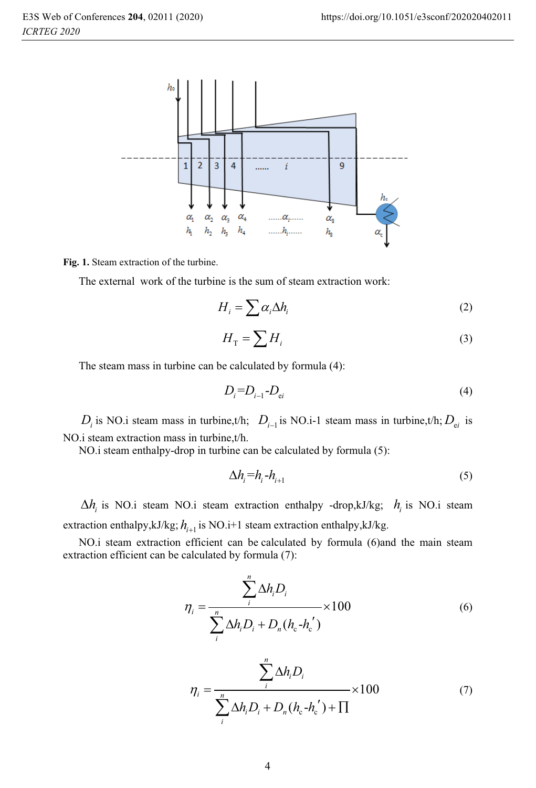

**Fig. 1.** Steam extraction of the turbine.

The external work of the turbine is the sum of steam extraction work:

$$
H_i = \sum \alpha_i \Delta h_i \tag{2}
$$

$$
H_{\rm T} = \sum H_i \tag{3}
$$

The steam mass in turbine can be calculated by formula (4):

$$
D_i = D_{i-1} - D_{ei} \tag{4}
$$

 $D_i$  is NO.i steam mass in turbine,t/h;  $D_{i-1}$  is NO.i-1 steam mass in turbine,t/h;  $D_{ei}$  is NO.i steam extraction mass in turbine,t/h.

NO.i steam enthalpy-drop in turbine can be calculated by formula (5):

$$
\Delta h_i = h_{i-1} - h_{i+1} \tag{5}
$$

 $\Delta h_i$  is NO.i steam NO.i steam extraction enthalpy -drop,kJ/kg;  $h_i$  is NO.i steam extraction enthalpy,kJ/kg;  $h_{i+1}$  is NO.i+1 steam extraction enthalpy,kJ/kg.

NO.i steam extraction efficient can be calculated by formula (6)and the main steam extraction efficient can be calculated by formula (7):

$$
\eta_i = \frac{\sum_{i}^{n} \Delta h_i D_i}{\sum_{i}^{n} \Delta h_i D_i + D_n (h_c - h_c')} \times 100
$$
\n<sup>(6)</sup>

$$
\eta_{i} = \frac{\sum_{i}^{n} \Delta h_{i} D_{i}}{\sum_{i}^{n} \Delta h_{i} D_{i} + D_{n} (h_{c} - h_{c}^{'} ) + \prod} \times 100
$$
\n(7)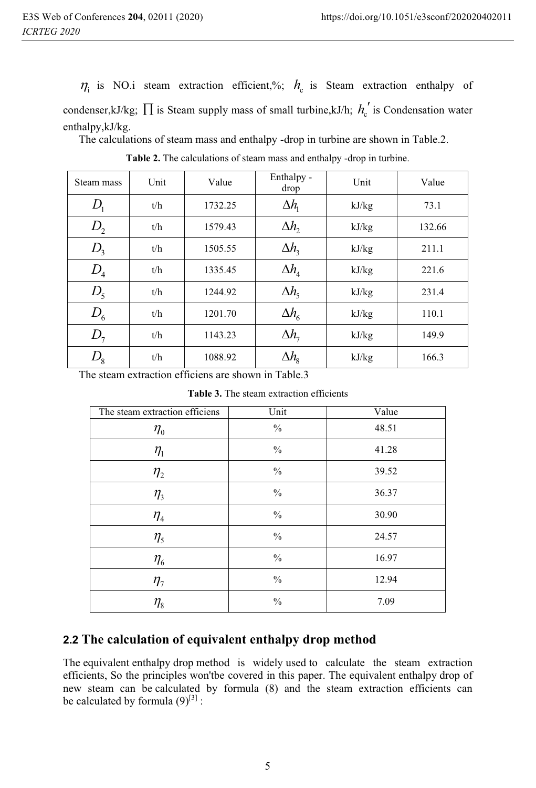$\eta_i$  is NO.i steam extraction efficient,%;  $h_c$  is Steam extraction enthalpy of condenser,kJ/kg;  $\prod$  is Steam supply mass of small turbine,kJ/h;  $h_c'$  is Condensation water enthalpy,kJ/kg.

The calculations of steam mass and enthalpy -drop in turbine are shown in Table.2.

| Steam mass     | Unit | Value   | Enthalpy -<br>drop      | Unit  | Value  |
|----------------|------|---------|-------------------------|-------|--------|
|                | t/h  | 1732.25 | $\Delta h$              | kJ/kg | 73.1   |
| D <sub>2</sub> | t/h  | 1579.43 | $\Delta h$ ,            | kJ/kg | 132.66 |
| $D_{3}$        | t/h  | 1505.55 | $\Delta h$ <sub>3</sub> | kJ/kg | 211.1  |
| $D_4$          | t/h  | 1335.45 | $\Delta h$ <sub>4</sub> | kJ/kg | 221.6  |
| $D_{5}$        | t/h  | 1244.92 | $\Delta h_{\rm s}$      | kJ/kg | 231.4  |
| $D_{6}$        | t/h  | 1201.70 | $\Delta h_{6}$          | kJ/kg | 110.1  |
| $D_7$          | t/h  | 1143.23 | $\Delta h$ <sub>7</sub> | kJ/kg | 149.9  |
| $D_{8}$        | t/h  | 1088.92 | $\Delta h_{\rm s}$      | kJ/kg | 166.3  |

**Table 2.** The calculations of steam mass and enthalpy -drop in turbine.

The steam extraction efficiens are shown in Table.3

**Table 3.** The steam extraction efficients

| The steam extraction efficiens | Unit          | Value |
|--------------------------------|---------------|-------|
| $\eta_{\scriptscriptstyle 0}$  | $\frac{0}{0}$ | 48.51 |
| $\eta_{\scriptscriptstyle 1}$  | $\frac{0}{0}$ | 41.28 |
| $\eta_{2}$                     | $\frac{0}{0}$ | 39.52 |
| $\eta$ <sub>3</sub>            | $\%$          | 36.37 |
| $\eta_{\scriptscriptstyle 4}$  | $\frac{0}{0}$ | 30.90 |
| $\eta_{5}$                     | $\frac{0}{0}$ | 24.57 |
| $\eta_{\scriptscriptstyle 6}$  | $\frac{0}{0}$ | 16.97 |
| $\eta_{7}$                     | $\frac{0}{0}$ | 12.94 |
| $\eta_{\scriptscriptstyle 8}$  | $\frac{0}{0}$ | 7.09  |

## **2.2 The calculation of equivalent enthalpy drop method**

The equivalent enthalpy drop method is widely used to calculate the steam extraction efficients, So the principles won'tbe covered in this paper. The equivalent enthalpy drop of new steam can be calculated by formula (8) and the steam extraction efficients can be calculated by formula  $(9)^{[3]}$  :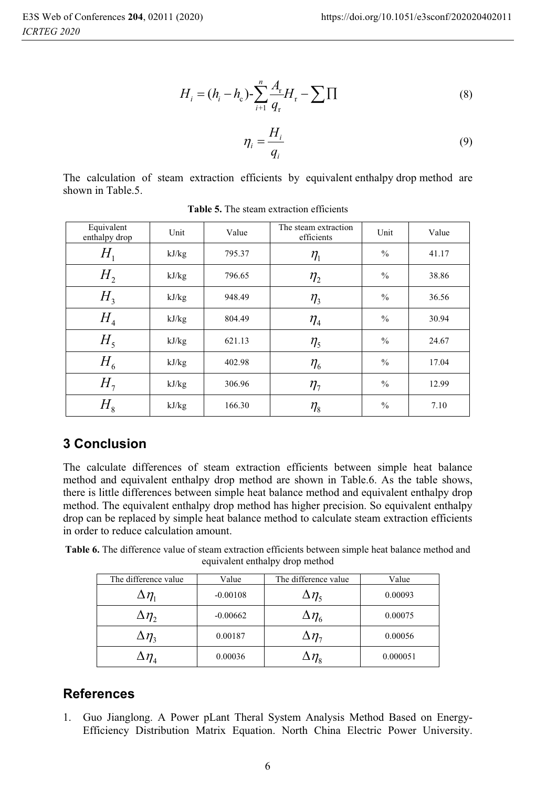$$
H_{i} = (h_{i} - h_{c}) - \sum_{i=1}^{n} \frac{A_{r}}{q_{r}} H_{r} - \sum \prod
$$
 (8)

$$
\eta_i = \frac{H_i}{q_i} \tag{9}
$$

The calculation of steam extraction efficients by equivalent enthalpy drop method are shown in Table.5.

| Equivalent<br>enthalpy drop | Unit  | Value  | The steam extraction<br>efficients | Unit          | Value |
|-----------------------------|-------|--------|------------------------------------|---------------|-------|
| $H_{\scriptscriptstyle 1}$  | kJ/kg | 795.37 | $\eta_{\scriptscriptstyle 1}$      | $\frac{0}{0}$ | 41.17 |
| H <sub>2</sub>              | kJ/kg | 796.65 | $\eta_{2}$                         | $\frac{0}{0}$ | 38.86 |
| H <sub>3</sub>              | kJ/kg | 948.49 | $\eta$ <sub>3</sub>                | $\frac{0}{0}$ | 36.56 |
| H <sub>4</sub>              | kJ/kg | 804.49 | $\eta_{\scriptscriptstyle 4}$      | $\frac{0}{0}$ | 30.94 |
| $H_5$                       | kJ/kg | 621.13 | $\eta_{5}$                         | $\frac{0}{0}$ | 24.67 |
| $H_{6}$                     | kJ/kg | 402.98 | $\eta_{\scriptscriptstyle 6}$      | $\frac{0}{0}$ | 17.04 |
| $H_{7}$                     | kJ/kg | 306.96 | $\eta_{7}$                         | $\frac{0}{0}$ | 12.99 |
| $H_{8}$                     | kJ/kg | 166.30 | $\eta_{\text{\tiny 8}}$            | $\frac{0}{0}$ | 7.10  |

Table 5. The steam extraction efficients

# **3 Conclusion**

The calculate differences of steam extraction efficients between simple heat balance method and equivalent enthalpy drop method are shown in Table.6. As the table shows, there is little differences between simple heat balance method and equivalent enthalpy drop method. The equivalent enthalpy drop method has higher precision. So equivalent enthalpy drop can be replaced by simple heat balance method to calculate steam extraction efficients in order to reduce calculation amount.

**Table 6.** The difference value of steam extraction efficients between simple heat balance method and equivalent enthalpy drop method

| The difference value                  | Value      | The difference value    | Value    |
|---------------------------------------|------------|-------------------------|----------|
| $\Delta \eta_{\scriptscriptstyle{1}}$ | $-0.00108$ | $\Delta\eta_{\rm s}$    | 0.00093  |
| $\Delta\eta_{_2}$                     | $-0.00662$ | $\Delta\eta_{\epsilon}$ | 0.00075  |
| $\Delta\eta_{\tiny{3}}$               | 0.00187    | $\Delta\eta_{\tau}$     | 0.00056  |
| $\Delta\eta_{\scriptscriptstyle{A}}$  | 0.00036    | $\Delta\eta_*$          | 0.000051 |

## **References**

1. Guo Jianglong. A Power pLant Theral System Analysis Method Based on Energy-Efficiency Distribution Matrix Equation. North China Electric Power University.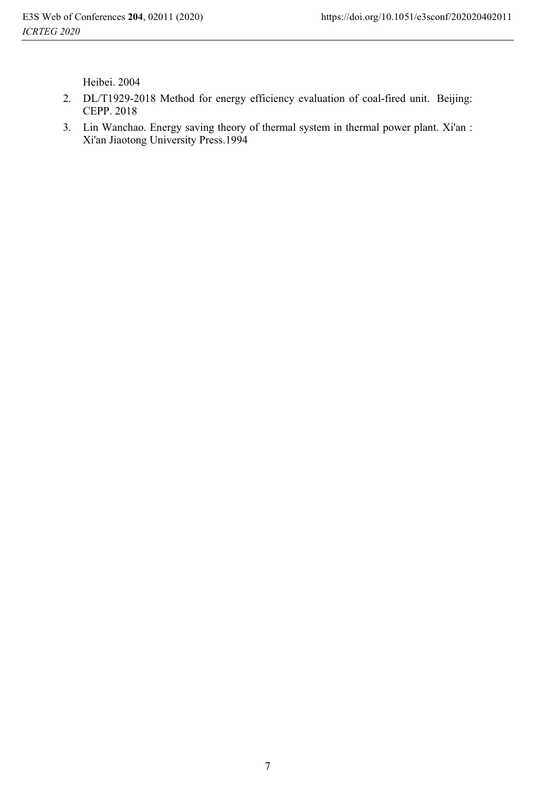Heibei. 2004

- 2. DL/T1929-2018 Method for energy efficiency evaluation of coal-fired unit. Beijing: CEPP. 2018
- 3. Lin Wanchao. Energy saving theory of thermal system in thermal power plant. Xi'an : Xi'an Jiaotong University Press.1994